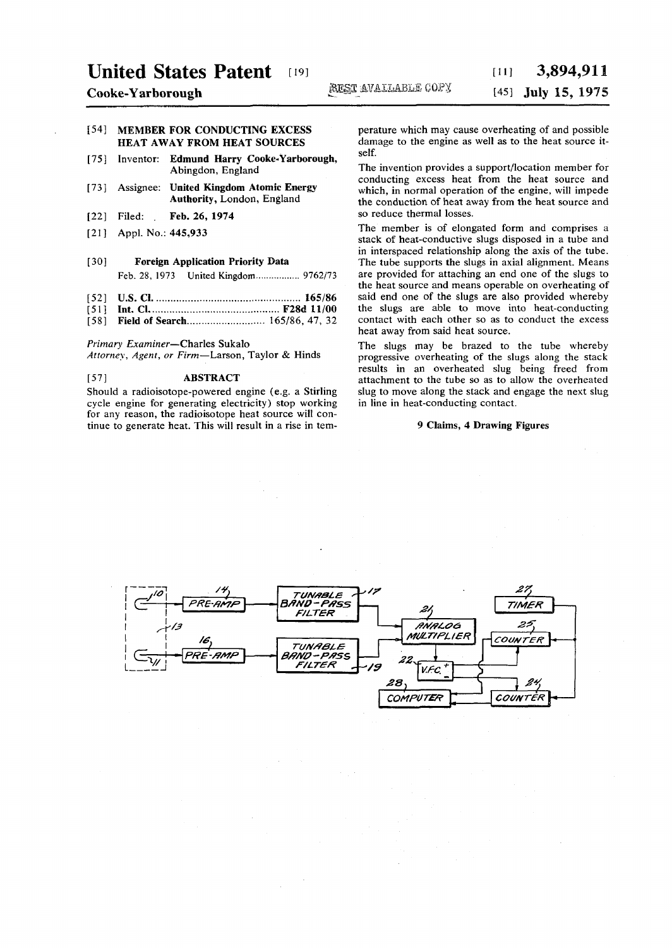# United States Patent [19] [11] 3,894,911

## [54] MEMBER FOR CONDUCTING EXCESS HEAT AWAY FROM HEAT SOURCES

- [75] Inventor: **Edmund Harry Cooke-Yarborough,**  Abingdon, England
- [73] Assignee: **United Kingdom Atomic Energy Authority,** London, England
- [22] Filed: . **Feb.** 26, 1974
- [21] Appl. No.: 445,933
- **[30] Foreign Application Priority Data**
- Feb. 28, 1973 United Kingdom ....................... 9762/73
- [52] U.S. CI 165/86
- [51] **Int.** CI F28d 11/00
- [58] **Field of Search .............................. 165/86, 47, 32**

*Primary Examiner*—Charles Sukalo

*Attorney, Agent, or Firm*—Larson, Taylor & Hinds

### [57] ABSTRACT

Should a radioisotope-powered engine (e.g. a Stirling cycle engine for generating electricity) stop working for any reason, the radioisotope heat source will continue to generate heat. This will result in a rise in temperature which may cause overheating of and possible damage to the engine as well as to the heat source itself.

The invention provides a support/location member for conducting excess heat from the heat source and which, in normal operation of the engine, will impede the conduction of heat away from the heat source and so reduce thermal losses.

The member is of elongated form and comprises a stack of heat-conductive slugs disposed in a tube and in interspaced relationship along the axis of the tube. The tube supports the slugs in axial alignment. Means are provided for attaching an end one of the slugs to the heat source and means operable on overheating of said end one of the slugs are also provided whereby the slugs are able to move into heat-conducting contact with each other so as to conduct the excess heat away from said heat source.

The slugs may be brazed to the tube whereby progressive overheating of the slugs along the stack results in an overheated slug being freed from attachment to the tube so as to allow the overheated slug to move along the stack and engage the next slug in line in heat-conducting contact.

### **9 Claims, 4 Drawing Figures**

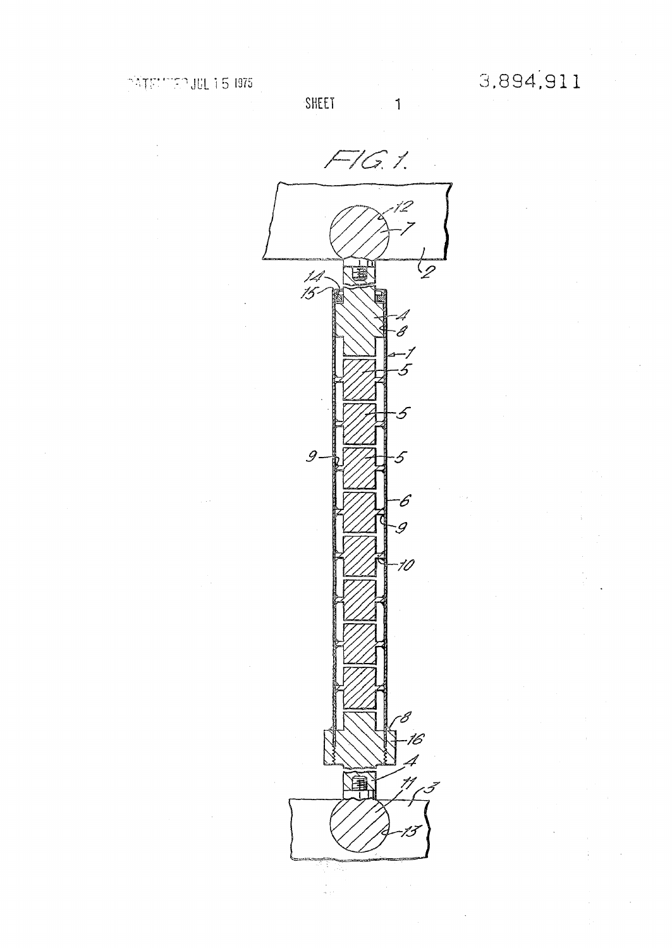$\mathbf{1}$ 

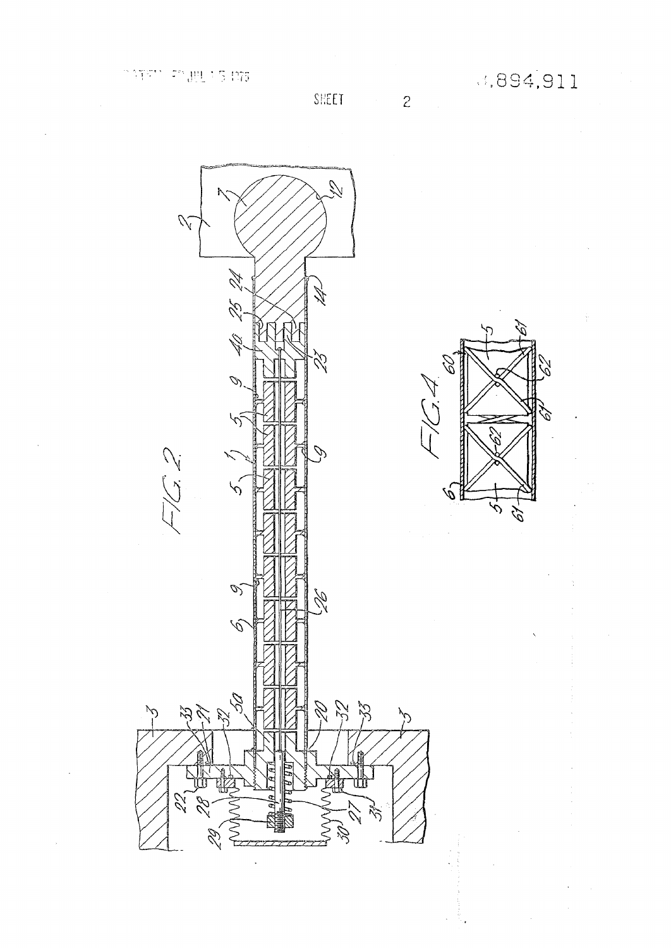D

Ŋ

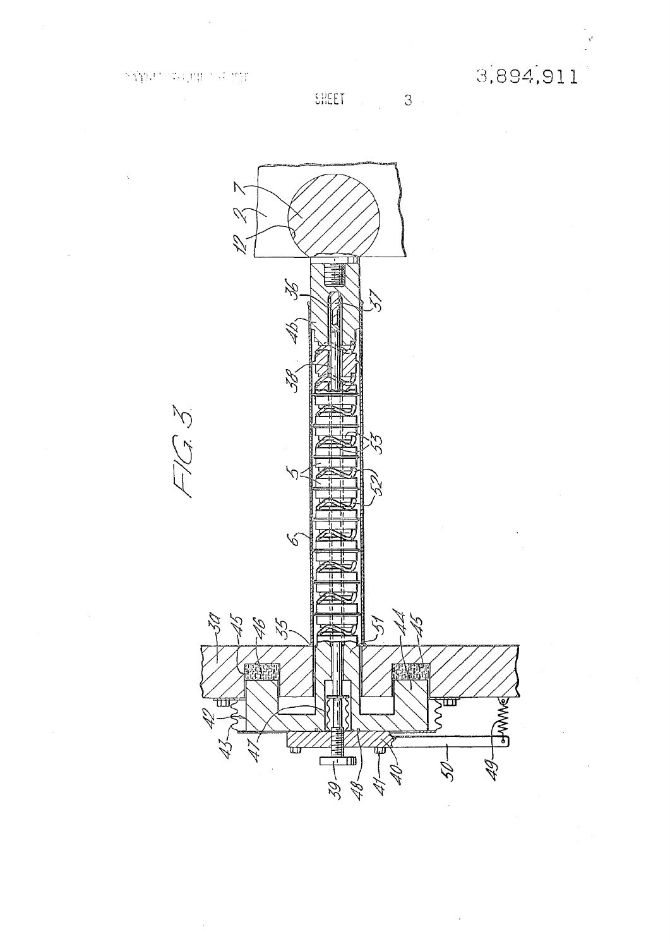3,894,911

SHEET 3

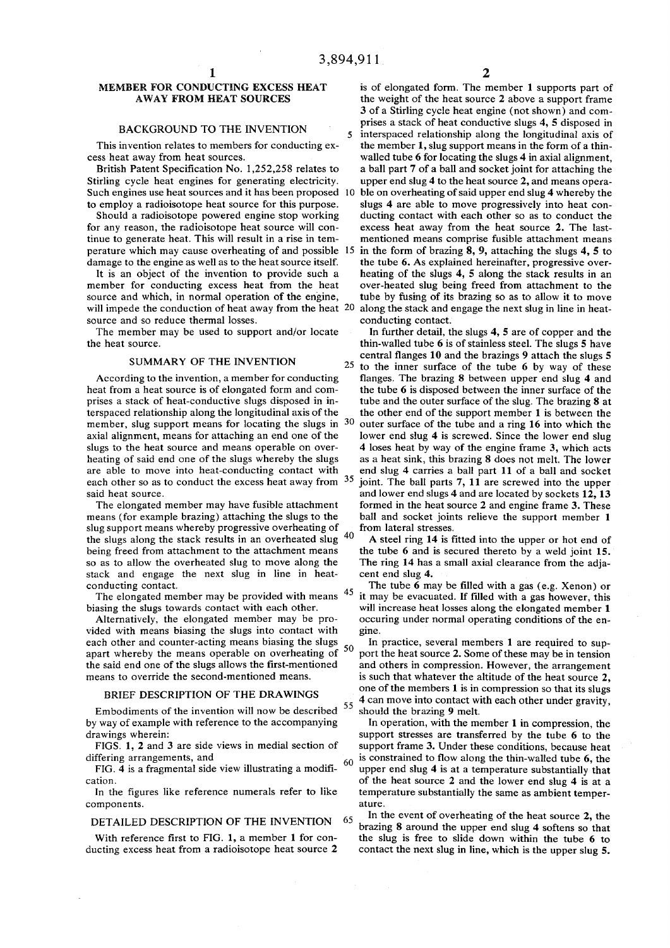### BACKGROUND TO THE INVENTION

cess heat away from heat sources. walled tube 6 for locating the slugs 4 in axial alignment,

Such engines use heat sources and it has been proposed 10 ble on overheating of said upper end slug 4 whereby the

for any reason, the radioisotope heat source will continue to generate heat. This will result in a rise in tem-<br>perature which may cause overheating of and possible 15 in the form of brazing 8, 9, attaching the slugs 4, 5 to perature which may cause overheating of and possible 15 in the form of brazing 8, 9, attaching the slugs 4, 5 to damage to the engine as well as to the heat source itself. the tube 6. As explained hereinafter, progressive damage to the engine as well as to the heat source itself.

will impede the conduction of heat away from the heat 20 along the stack and engage the next slug in line in heat-<br>conducting contact. source and so reduce thermal losses.

member, slug support means for locating the slugs in  $30$  axial alignment, means for attaching an end one of the each other so as to conduct the excess heat away from  $35$ 

slug support means whereby progressive overheating of from lateral stresses. so as to allow the overheated slug to move along the stack and engage the next slug in line in heat- cent end slug 4.<br>conducting contact.

The elongated member may be provided with means  $45$  biasing the slugs towards contact with each other.

vided with means biasing the slugs into contact with gine. each other and counter-acting means biasing the slugs  $\sim$  In practice, several members 1 are required to sup-

# BRIEF DESCRIPTION OF THE DRAWINGS

Embodiments of the invention will now be described  $55$  should the brazing 9 melt. by way of example with reference to the accompanying In operation, with the member 1 in compression, the

components. ature.

**1 2**  MEMBER FOR CONDUCTING EXCESS HEAT is of elongated form. The member 1 supports part of<br>AWAY FROM HEAT SOURCES the weight of the heat source 2 above a support frame the weight of the heat source 2 above a support frame 3 of a Stirling cycle heat engine (not shown) and comprises a stack of heat conductive slugs 4, 5 disposed in 5 interspaced relationship along the longitudinal axis of This invention relates to members for conducting  $ex-$  the member 1, slug support means in the form of a thin-

British Patent Specification No. 1,252,258 relates to a ball part 7 of a ball and socket joint for attaching the Stirling cycle heat engines for generating electricity. upper end slug 4 to the heat source 2, and means opera-

to employ a radioisotope heat source for this purpose. slugs 4 are able to move progressively into heat con-<br>Should a radioisotope powered engine stop working ducting contact with each other so as to conduct the Should a radioisotope powered engine stop working ducting contact with each other so as to conduct the rany reason, the radioisotope heat source will con-<br>In excess heat away from the heat source 2. The last-

It is an object of the invention to provide such a heating of the slugs 4, 5 along the stack results in an member for conducting excess heat from the heat over-heated slug being freed from attachment to the member for conducting excess heat from the heat over-heated slug being freed from attachment to the source and which, in normal operation of the engine, tube by fusing of its brazing so as to allow it to move tube by fusing of its brazing so as to allow it to move

The member may be used to support and/or locate In further detail, the slugs  $4, 5$  are of copper and the the heat source. this stainless steel. The slugs 5 have thin-walled tube 6 is of stainless steel. The slugs 5 have C M ,,,.. <sup>D</sup> <sup>V</sup> ,, 1UI:MT , A 1 . , central flanges 10 and the brazings 9 attach the slugs 5 SUMMARY OF THE INVENTION 25 to the inner surface of the tube 6 by way of the According to the invention, a member for conducting flanges. The brazing 8 between upper end slug 4 and heat from a heat source is of elongated form and com-<br>the tube 6 is disposed between the inner surface of the heat from a heat source is of elongated form and com-<br>prises a stack of heat-conductive slugs disposed in in-<br>tube and the outer surface of the slug. The brazing 8 at tube and the outer surface of the slug. The brazing 8 at terspaced relationship along the longitudinal axis of the the other end of the support member 1 is between the outer surface of the tube and a ring 16 into which the lower end slug 4 is screwed. Since the lower end slug slugs to the heat source and means operable on over-<br>heating of said end one of the slugs whereby the slugs as a heat sink, this brazing 8 does not melt. The lower as a heat sink, this brazing 8 does not melt. The lower are able to move into heat-conducting contact with end slug 4 carries a ball part 11 of a ball and socket joint. The ball parts 7, 11 are screwed into the upper said heat source. and lower end slugs 4 and are located by sockets 12, 13 The elongated member may have fusible attachment formed in the heat source  $2$  and engine frame  $3$ . These means (for example brazing) attaching the slugs to the ball and socket joints relieve the support member 1

the slugs along the stack results in an overheated slug  $40$  A steel ring 14 is fitted into the upper or hot end of being freed from attachment to the attachment means the tube 6 and is secured thereto by a weld joint 15. the tube 6 and is secured thereto by a weld joint 15.<br>The ring 14 has a small axial clearance from the adja-

The tube  $\vec{6}$  may be filled with a gas (e.g. Xenon) or it may be evacuated. If filled with a gas however, this will increase heat losses along the elongated member 1 Alternatively, the elongated member may be pro- occuring under normal operating conditions of the en-

apart whereby the means operable on overheating of  $\frac{30}{20}$  port the heat source 2. Some of these may be in tension the said end one of the slugs allows the first-mentioned and others in compression. However, the arran the said end one of the slugs allows the first-mentioned and others in compression. However, the arrangement means to override the second-mentioned means. It is such that whatever the altitude of the heat source 2. is such that whatever the altitude of the heat source 2, one of the members 1 is in compression so that its slugs 4 can move into contact with each other under gravity,

drawings wherein:<br>FIGS. 1, 2 and 3 are side views in medial section of support frame 3. Under these conditions, because heat support frame 3. Under these conditions, because heat differing arrangements, and<br>FIG. 4 is a fragmental side view illustrating a modifi-<br>q is constrained to flow along the thin-walled tube 6, the<br>FIG. 4 is a fragmental side view illustrating a modifi-<br>q upper end slug 4 is upper end slug 4 is at a temperature substantially that cation. of the heat source 2 and the lower end slug 4 is at a In the figures like reference numerals refer to like temperature substantially the same as ambient temper-

**DETAILED DESCRIPTION OF THE INVENTION 65 In the event of overheating of the heat source** In the event of overheating of the heat source 2, the With reference first to FIG. 1, a member 1 for con-<br>the slug is free to slide down within the tube 6 to ducting excess heat from a radioisotope heat source 2 contact the next slug in line, which is the upper slug 5.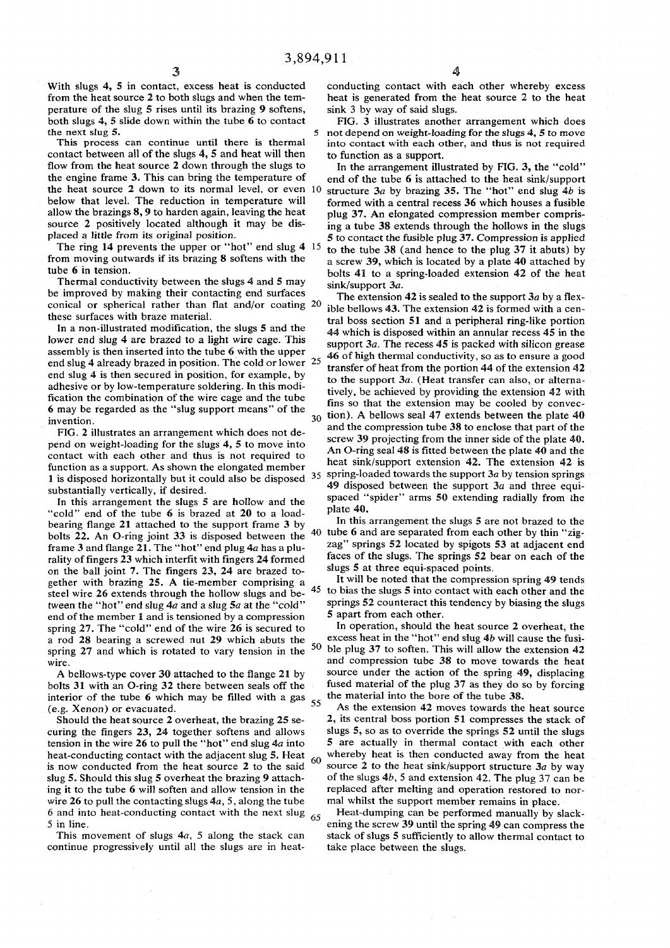With slugs 4, 5 in contact, excess heat is conducted from the heat source 2 to both slugs and when the temperature of the slug 5 rises until its brazing 9 softens, both slugs 4, 5 slide down within the tube 6 to contact the next slug  $5$ .

This process can continue until there is thermal contact between all of the slugs 4, 5 and heat will then flow from the heat source 2 down through the slugs to the engine frame 3. This can bring the temperature of the heat source 2 down to its normal level, or even 10 below that level. The reduction in temperature will allow the brazings 8, 9 to harden again, leaving the heat source 2 positively located although it may be displaced a little from its original position.

The ring 14 prevents the upper or "hot" end slug 4 15 from moving outwards if its brazing 8 softens with the tube 6 in tension.

Thermal conductivity between the slugs 4 and 5 may be improved by making their contacting end surfaces conical or spherical rather than flat and/or coating 20 these surfaces with braze material.

In a non-illustrated modification, the slugs 5 and the lower end slug 4 are brazed to a light wire cage. This assembly is then inserted into the tube 6 with the upper end slug 4 already brazed in position. The cold or lower 25 end slug 4 is then secured in position, for example, by adhesive or by low-temperature soldering. In this modification the combination of the wire cage and the tube 6 may be regarded as the "slug support means " of the invention. 30

FIG. 2 illustrates an arrangement which does not depend on weight-loading for the slugs 4, 5 to move into contact with each other and thus is not required to function as a support. As shown the elongated member 1 is disposed horizontally but it could also be disposed  $35$ substantially vertically, if desired.

In this arrangement the slugs 5 are hollow and the "cold" end of the tube 6 is brazed at 20 to a loadbearing flange 21 attached to the support frame 3 by 40 bolts 22. An O-ring joint 33 is disposed between the frame 3 and flange 21. The "hot" end plug 4a has a plurality of fingers 23 which interfit with fingers 24 formed on the ball joint 7. The fingers 23, 24 are brazed together with brazing 25. A tie-member comprising a steel wire 26 extends through the hollow slugs and between the "hot " end slug *4a* and a slug 5*a* at the "cold " end of the member 1 and is tensioned by a compression spring 27. The "cold" end of the wire 26 is secured to a rod 28 bearing a screwed nut 29 which abuts the 50 spring 27 and which is rotated to vary tension in the wire.

A bellows-type cover 30 attached to the flange 21 by bolts 31 with an O-ring 32 there between seals off the interior of the tube 6 which may be filled with a gas  $\frac{55}{6}$ (e.g. Xenon) or evacuated.

Should the heat source 2 overheat, the brazing 25 securing the fingers 23, 24 together softens and allows tension in the wire 26 to pull the "hot " end slug *4a* into heat-conducting contact with the adjacent slug 5. Heat  $\frac{60}{60}$ is now conducted from the heat source 2 to the said slug 5. Should this slug 5 overheat the brazing 9 attaching it to the tube 6 will soften and allow tension in the wire 26 to pull the contacting slugs  $4a$ , 5, along the tube 6 and into heat-conducting contact with the next slug  $_{65}$ 5 in line.

This movement of slugs *4a,* 5 along the stack can continue progressively until all the slugs are in heat-

conducting contact with each other whereby excess heat is generated from the heat source 2 to the heat sink 3 by way of said slugs.

FIG. 3 illustrates another arrangement which does not depend on weight-loading for the slugs 4, 5 to move into contact with each other, and thus is not required to function as a support.

In the arrangement illustrated by FIG. 3, the "cold " end of the tube 6 is attached to the heat sink/support structure 3a by brazing 35. The "hot" end slug 4b is formed with a central recess 36 which houses a fusible plug 37. An elongated compression member comprising a tube 38 extends through the hollows in the slugs 5 to contact the fusible plug 37. Compression is applied to the tube 38 (and hence to the plug 37 it abuts) by a screw 39, which is located by a plate 40 attached by bolts 41 to a spring-loaded extension 42 of the heat sink/support 3a.

The extension 42 is sealed to the support  $3a$  by a flexible bellows 43. The extension 42 is formed with a central boss section 51 and a peripheral ring-like portion 44 which is disposed within an annular recess 45 in the support *3a.* The recess 45 is packed with silicon grease 46 of high thermal conductivity, so as to ensure a good transfer of heat from the portion 44 of the extension 42 to the support *3a.* (Heat transfer can also, or alternatively, be achieved by providing the extension 42 with fins so that the extension may be cooled by convection). A bellows seal  $47$  extends between the plate  $40$ and the compression tube 38 to enclose that part of the screw 39 projecting from the inner side of the plate 40. An O-ring seal *48 is* fitted between the plate 40 and the heat sink/support extension 42. The extension 42 is spring-loaded towards the support 3a by tension springs 49 disposed between the support  $3a$  and three equispaced "spider" arms 50 extending radially from the plate 40.

In this arrangement the slugs 5 are not brazed to the tube 6 and are separated from each other by thin "zigzag" springs 52 located by spigots 53 at adjacent end faces of the slugs. The springs 52 bear on each of the slugs 5 at three equi-spaced points.

45 to bias the slugs 5 into contact with each other and the It will be noted that the compression spring 49 tends springs 52 counteract this tendency by biasing the slugs 5 apart from each other.

In operation, should the heat source 2 overheat, the excess heat in the "hot" end slug 4b will cause the fusible plug 37 to soften. This will allow the extension 42 and compression tube 38 to move towards the heat source under the action of the spring 49, displacing fused material of the plug 37 as they do so by forcing the material into the bore of the tube 38.

As the extension 42 moves towards the heat source 2, its central boss portion 51 compresses the stack of slugs 5, so as to override the springs 52 until the slugs 5 are actually in thermal contact with each other whereby heat is then conducted away from the heat source 2 to the heat sink/support structure *3a* by way of the slugs *4b,* 5 and extension 42. The plug 37 can be replaced after melting and operation restored to normal whilst the support member remains in place.

Heat-dumping can be performed manually by slackening the screw 39 until the spring 49 can compress the stack of slugs 5 sufficiently to allow thermal contact to take place between the slugs.